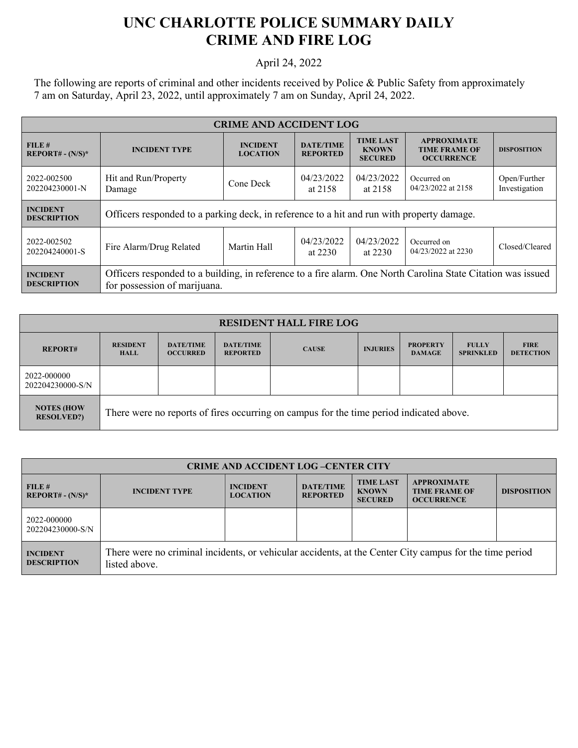## **UNC CHARLOTTE POLICE SUMMARY DAILY CRIME AND FIRE LOG**

## April 24, 2022

The following are reports of criminal and other incidents received by Police & Public Safety from approximately 7 am on Saturday, April 23, 2022, until approximately 7 am on Sunday, April 24, 2022.

| <b>CRIME AND ACCIDENT LOG</b>         |                                                                                                                                              |                                    |                                     |                                                    |                                                                 |                               |
|---------------------------------------|----------------------------------------------------------------------------------------------------------------------------------------------|------------------------------------|-------------------------------------|----------------------------------------------------|-----------------------------------------------------------------|-------------------------------|
| FILE#<br>$REPORT# - (N/S)*$           | <b>INCIDENT TYPE</b>                                                                                                                         | <b>INCIDENT</b><br><b>LOCATION</b> | <b>DATE/TIME</b><br><b>REPORTED</b> | <b>TIME LAST</b><br><b>KNOWN</b><br><b>SECURED</b> | <b>APPROXIMATE</b><br><b>TIME FRAME OF</b><br><b>OCCURRENCE</b> | <b>DISPOSITION</b>            |
| 2022-002500<br>202204230001-N         | Hit and Run/Property<br>Damage                                                                                                               | Cone Deck                          | 04/23/2022<br>at 2158               | 04/23/2022<br>at 2158                              | Occurred on<br>04/23/2022 at 2158                               | Open/Further<br>Investigation |
| <b>INCIDENT</b><br><b>DESCRIPTION</b> | Officers responded to a parking deck, in reference to a hit and run with property damage.                                                    |                                    |                                     |                                                    |                                                                 |                               |
| 2022-002502<br>202204240001-S         | Fire Alarm/Drug Related                                                                                                                      | Martin Hall                        | 04/23/2022<br>at $2230$             | 04/23/2022<br>at $2230$                            | Occurred on<br>04/23/2022 at 2230                               | Closed/Cleared                |
| <b>INCIDENT</b><br><b>DESCRIPTION</b> | Officers responded to a building, in reference to a fire alarm. One North Carolina State Citation was issued<br>for possession of marijuana. |                                    |                                     |                                                    |                                                                 |                               |

| <b>RESIDENT HALL FIRE LOG</b>          |                                                                                         |                                     |                                     |              |                 |                                  |                                  |                                 |
|----------------------------------------|-----------------------------------------------------------------------------------------|-------------------------------------|-------------------------------------|--------------|-----------------|----------------------------------|----------------------------------|---------------------------------|
| <b>REPORT#</b>                         | <b>RESIDENT</b><br><b>HALL</b>                                                          | <b>DATE/TIME</b><br><b>OCCURRED</b> | <b>DATE/TIME</b><br><b>REPORTED</b> | <b>CAUSE</b> | <b>INJURIES</b> | <b>PROPERTY</b><br><b>DAMAGE</b> | <b>FULLY</b><br><b>SPRINKLED</b> | <b>FIRE</b><br><b>DETECTION</b> |
| 2022-000000<br>202204230000-S/N        |                                                                                         |                                     |                                     |              |                 |                                  |                                  |                                 |
| <b>NOTES (HOW</b><br><b>RESOLVED?)</b> | There were no reports of fires occurring on campus for the time period indicated above. |                                     |                                     |              |                 |                                  |                                  |                                 |

| <b>CRIME AND ACCIDENT LOG-CENTER CITY</b> |                                                                                                                          |                                    |                                     |                                                    |                                                                 |                    |  |
|-------------------------------------------|--------------------------------------------------------------------------------------------------------------------------|------------------------------------|-------------------------------------|----------------------------------------------------|-----------------------------------------------------------------|--------------------|--|
| FILE H<br>$REPORT# - (N/S)*$              | <b>INCIDENT TYPE</b>                                                                                                     | <b>INCIDENT</b><br><b>LOCATION</b> | <b>DATE/TIME</b><br><b>REPORTED</b> | <b>TIME LAST</b><br><b>KNOWN</b><br><b>SECURED</b> | <b>APPROXIMATE</b><br><b>TIME FRAME OF</b><br><b>OCCURRENCE</b> | <b>DISPOSITION</b> |  |
| 2022-000000<br>202204230000-S/N           |                                                                                                                          |                                    |                                     |                                                    |                                                                 |                    |  |
| <b>INCIDENT</b><br><b>DESCRIPTION</b>     | There were no criminal incidents, or vehicular accidents, at the Center City campus for the time period<br>listed above. |                                    |                                     |                                                    |                                                                 |                    |  |